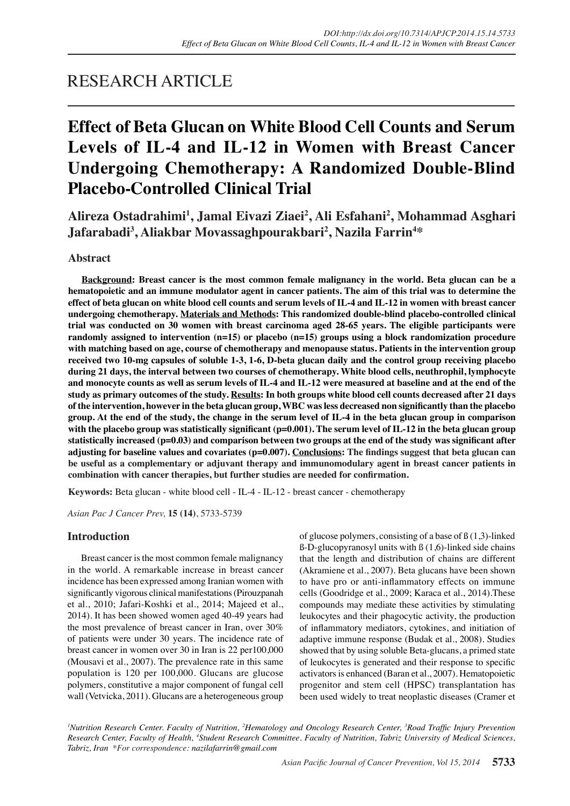# RESEARCH ARTICLE

# **Effect of Beta Glucan on White Blood Cell Counts and Serum Levels of IL-4 and IL-12 in Women with Breast Cancer Undergoing Chemotherapy: A Randomized Double-Blind Placebo-Controlled Clinical Trial**

**Alireza Ostadrahimi1 , Jamal Eivazi Ziaei2 , Ali Esfahani2 , Mohammad Asghari Jafarabadi3 , Aliakbar Movassaghpourakbari2 , Nazila Farrin4 \***

# **Abstract**

**Background: Breast cancer is the most common female malignancy in the world. Beta glucan can be a hematopoietic and an immune modulator agent in cancer patients. The aim of this trial was to determine the effect of beta glucan on white blood cell counts and serum levels of IL-4 and IL-12 in women with breast cancer undergoing chemotherapy. Materials and Methods: This randomized double-blind placebo-controlled clinical trial was conducted on 30 women with breast carcinoma aged 28-65 years. The eligible participants were randomly assigned to intervention (n=15) or placebo (n=15) groups using a block randomization procedure with matching based on age, course of chemotherapy and menopause status. Patients in the intervention group received two 10-mg capsules of soluble 1-3, 1-6, D-beta glucan daily and the control group receiving placebo during 21 days, the interval between two courses of chemotherapy. White blood cells, neuthrophil, lymphocyte and monocyte counts as well as serum levels of IL-4 and IL-12 were measured at baseline and at the end of the study as primary outcomes of the study. Results: In both groups white blood cell counts decreased after 21 days**  of the intervention, however in the beta glucan group, WBC was less decreased non significantly than the placebo **group. At the end of the study, the change in the serum level of IL-4 in the beta glucan group in comparison**  with the placebo group was statistically significant  $(p=0.001)$ . The serum level of IL-12 in the beta glucan group statistically increased  $(p=0.03)$  and comparison between two groups at the end of the study was significant after adjusting for baseline values and covariates (p=0.007). Conclusions: The findings suggest that beta glucan can **be useful as a complementary or adjuvant therapy and immunomodulary agent in breast cancer patients in**  combination with cancer therapies, but further studies are needed for confirmation.

Keywords: Beta glucan - white blood cell - IL-4 - IL-12 - breast cancer - chemotherapy

*Asian Pac J Cancer Prev,* **15 (14)**, 5733-5739

# **Introduction**

Breast cancer is the most common female malignancy in the world. A remarkable increase in breast cancer incidence has been expressed among Iranian women with significantly vigorous clinical manifestations (Pirouzpanah et al., 2010; Jafari-Koshki et al., 2014; Majeed et al., 2014). It has been showed women aged 40-49 years had the most prevalence of breast cancer in Iran, over 30% of patients were under 30 years. The incidence rate of breast cancer in women over 30 in Iran is  $22$  per  $100,000$ (Mousavi et al., 2007). The prevalence rate in this same population is  $120$  per  $100,000$ . Glucans are glucose polymers, constitutive a major component of fungal cell wall (Vetvicka, 2011). Glucans are a heterogeneous group

of glucose polymers, consisting of a base of  $\beta$  (1,3)-linked  $\beta$ -D-glucopyranosyl units with  $\beta$  (1,6)-linked side chains that the length and distribution of chains are different (Akramiene et al., 2007). Beta glucans have been shown to have pro or anti-inflammatory effects on immune cells (Goodridge et al., 2009; Karaca et al., 2014). These compounds may mediate these activities by stimulating leukocytes and their phagocytic activity, the production of inflammatory mediators, cytokines, and initiation of adaptive immune response (Budak et al., 2008). Studies showed that by using soluble Beta-glucans, a primed state of leukocytes is generated and their response to specific activators is enhanced (Baran et al., 2007). Hematopoietic progenitor and stem cell (HPSC) transplantation has been used widely to treat neoplastic diseases (Cramer et

<sup>1</sup>Nutrition Research Center. Faculty of Nutrition, <sup>2</sup>Hematology and Oncology Research Center, <sup>3</sup>Road Traffic Injury Prevention *Research Center, Faculty of Health, 4 Student Research Committee. Faculty of Nutrition, Tabriz University of Medical Sciences, 7DEUL],UDQ \*For correspondence: nazilafarrin@gmail.com*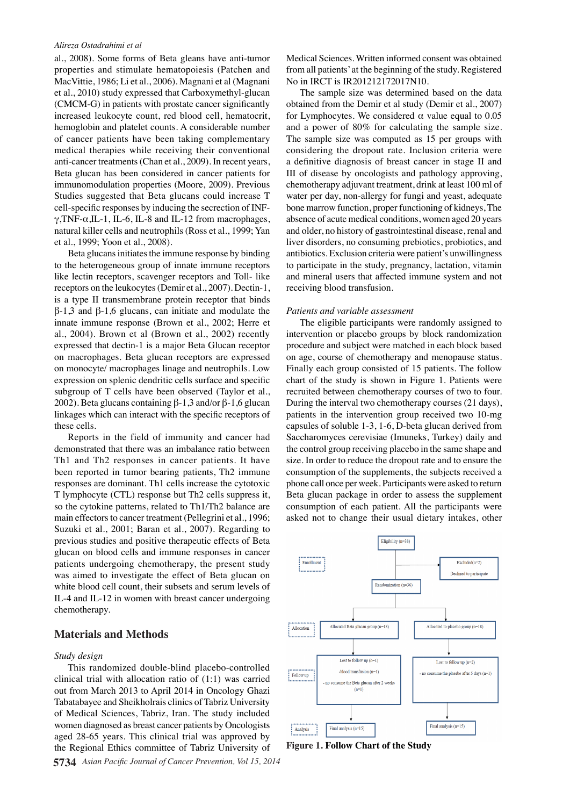#### Alireza Ostadrahimi et al

al., 2008). Some forms of Beta gleans have anti-tumor properties and stimulate hematopoiesis (Patchen and MacVittie, 1986; Li et al., 2006). Magnani et al (Magnani et al., 2010) study expressed that Carboxymethyl-glucan (CMCM-G) in patients with prostate cancer significantly increased leukocyte count, red blood cell, hematocrit, hemoglobin and platelet counts. A considerable number of cancer patients have been taking complementary medical therapies while receiving their conventional anti-cancer treatments (Chan et al., 2009). In recent years, Beta glucan has been considered in cancer patients for immunomodulation properties (Moore, 2009). Previous Studies suggested that Beta glucans could increase T cell-specific responses by inducing the secrection of INF- $\gamma$ , TNF- $\alpha$ , IL-1, IL-6, IL-8 and IL-12 from macrophages, natural killer cells and neutrophils (Ross et al., 1999; Yan et al., 1999; Yoon et al., 2008).

Beta glucans initiates the immune response by binding to the heterogeneous group of innate immune receptors like lectin receptors, scavenger receptors and Toll- like receptors on the leukocytes (Demir et al., 2007). Dectin-1, is a type II transmembrane protein receptor that binds  $\beta$ -1,3 and  $\beta$ -1,6 glucans, can initiate and modulate the innate immune response (Brown et al., 2002; Herre et al.,  $2004$ ). Brown et al (Brown et al.,  $2002$ ) recently expressed that dectin-1 is a major Beta Glucan receptor on macrophages. Beta glucan receptors are expressed on monocyte/ macrophages linage and neutrophils. Low expression on splenic dendritic cells surface and specific subgroup of T cells have been observed (Taylor et al., 2002). Beta glucans containing  $\beta$ -1,3 and/or  $\beta$ -1,6 glucan linkages which can interact with the specific receptors of these cells.

Reports in the field of immunity and cancer had demonstrated that there was an imbalance ratio between Th1 and Th2 responses in cancer patients. It have been reported in tumor bearing patients, Th<sub>2</sub> immune responses are dominant. Th1 cells increase the cytotoxic T lymphocyte (CTL) response but Th2 cells suppress it, so the cytokine patterns, related to Th1/Th2 balance are main effectors to cancer treatment (Pellegrini et al., 1996; Suzuki et al., 2001; Baran et al., 2007). Regarding to previous studies and positive therapeutic effects of Beta glucan on blood cells and immune responses in cancer patients undergoing chemotherapy, the present study was aimed to investigate the effect of Beta glucan on white blood cell count, their subsets and serum levels of IL-4 and IL-12 in women with breast cancer undergoing chemotherapy.

# **Materials and Methods**

## Study design

This randomized double-blind placebo-controlled clinical trial with allocation ratio of  $(1:1)$  was carried out from March 2013 to April 2014 in Oncology Ghazi Tabatabayee and Sheikholrais clinics of Tabriz University of Medical Sciences, Tabriz, Iran. The study included women diagnosed as breast cancer patients by Oncologists aged 28-65 years. This clinical trial was approved by the Regional Ethics committee of Tabriz University of

5734 Asian Pacific Journal of Cancer Prevention, Vol 15, 2014

Medical Sciences. Written informed consent was obtained from all patients' at the beginning of the study. Registered No in IRCT is IR201212172017N10.

The sample size was determined based on the data obtained from the Demir et al study (Demir et al., 2007) for Lymphocytes. We considered  $\alpha$  value equal to 0.05 and a power of  $80\%$  for calculating the sample size. The sample size was computed as 15 per groups with considering the dropout rate. Inclusion criteria were a definitive diagnosis of breast cancer in stage II and III of disease by oncologists and pathology approving, chemotherapy adjuvant treatment, drink at least 100 ml of water per day, non-allergy for fungi and yeast, adequate bone marrow function, proper functioning of kidneys, The absence of acute medical conditions, women aged 20 years and older, no history of gastrointestinal disease, renal and liver disorders, no consuming prebiotics, probiotics, and antibiotics. Exclusion criteria were patient's unwillingness to participate in the study, pregnancy, lactation, vitamin and mineral users that affected immune system and not receiving blood transfusion.

#### Patients and variable assessment

The eligible participants were randomly assigned to intervention or placebo groups by block randomization procedure and subject were matched in each block based on age, course of chemotherapy and menopause status. Finally each group consisted of 15 patients. The follow chart of the study is shown in Figure 1. Patients were recruited between chemotherapy courses of two to four. During the interval two chemotherapy courses (21 days), patients in the intervention group received two 10-mg capsules of soluble 1-3, 1-6, D-beta glucan derived from Saccharomyces cerevisiae (Imuneks, Turkey) daily and the control group receiving placebo in the same shape and size. In order to reduce the dropout rate and to ensure the consumption of the supplements, the subjects received a phone call once per week. Participants were asked to return Beta glucan package in order to assess the supplement consumption of each patient. All the participants were asked not to change their usual dietary intakes, other



**Figure 1. Follow Chart of the Study**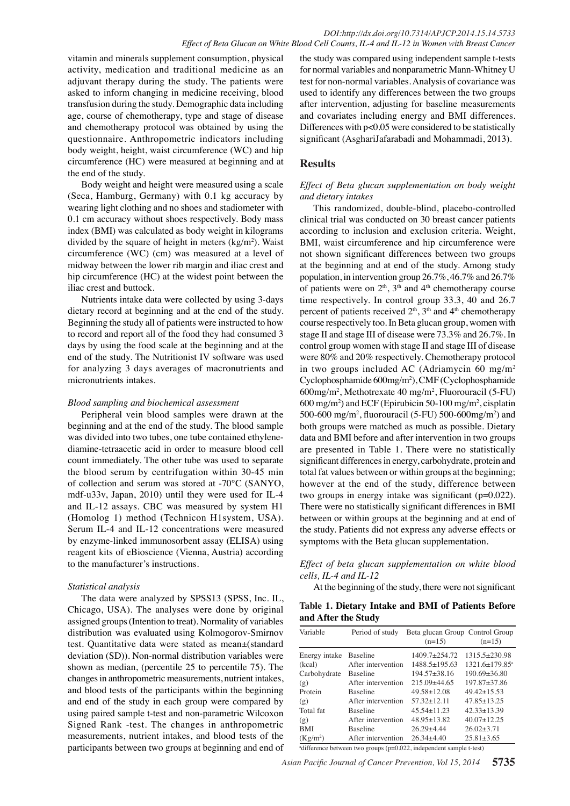vitamin and minerals supplement consumption, physical activity, medication and traditional medicine as an adjuvant therapy during the study. The patients were asked to inform changing in medicine receiving, blood transfusion during the study. Demographic data including age, course of chemotherapy, type and stage of disease and chemotherapy protocol was obtained by using the questionnaire. Anthropometric indicators including body weight, height, waist circumference (WC) and hip circumference (HC) were measured at beginning and at the end of the study.

Body weight and height were measured using a scale (Seca, Hamburg, Germany) with  $0.1$  kg accuracy by wearing light clothing and no shoes and stadiometer with  $0.1$  cm accuracy without shoes respectively. Body mass index (BMI) was calculated as body weight in kilograms divided by the square of height in meters  $(kg/m^2)$ . Waist circumference (WC) (cm) was measured at a level of midway between the lower rib margin and iliac crest and hip circumference (HC) at the widest point between the iliac crest and buttock.

Nutrients intake data were collected by using 3-days dietary record at beginning and at the end of the study. Beginning the study all of patients were instructed to how to record and report all of the food they had consumed 3 days by using the food scale at the beginning and at the end of the study. The Nutritionist IV software was used for analyzing 3 days averages of macronutrients and micronutrients intakes.

# *Blood sampling and biochemical assessment*

Peripheral vein blood samples were drawn at the beginning and at the end of the study. The blood sample was divided into two tubes, one tube contained ethylenediamine-tetraacetic acid in order to measure blood cell count immediately. The other tube was used to separate the blood serum by centrifugation within  $30-45$  min of collection and serum was stored at  $-70^{\circ}$ C (SANYO, mdf-u33v, Japan, 2010) until they were used for IL-4 and IL-12 assays. CBC was measured by system H1 (Homolog 1) method (Technicon H1system, USA). Serum IL-4 and IL-12 concentrations were measured by enzyme-linked immunosorbent assay (ELISA) using reagent kits of eBioscience (Vienna, Austria) according to the manufacturer's instructions.

#### *Statistical analysis*

The data were analyzed by SPSS13 (SPSS, Inc. IL, Chicago, USA). The analyses were done by original assigned groups (Intention to treat). Normality of variables distribution was evaluated using Kolmogorov-Smirnov test. Quantitative data were stated as mean±(standard deviation (SD)). Non-normal distribution variables were shown as median, (percentile 25 to percentile 75). The changes in anthropometric measurements, nutrient intakes, and blood tests of the participants within the beginning and end of the study in each group were compared by using paired sample t-test and non-parametric Wilcoxon Signed Rank -test. The changes in anthropometric measurements, nutrient intakes, and blood tests of the participants between two groups at beginning and end of

the study was compared using independent sample t-tests for normal variables and nonparametric Mann-Whitney U test for non-normal variables. Analysis of covariance was used to identify any differences between the two groups after intervention, adjusting for baseline measurements and covariates including energy and BMI differences. Differences with  $p<0.05$  were considered to be statistically significant (AsghariJafarabadi and Mohammadi, 2013).

# **Results**

# *Effect of Beta glucan supplementation on body weight and dietary intakes*

This randomized, double-blind, placebo-controlled clinical trial was conducted on 30 breast cancer patients according to inclusion and exclusion criteria. Weight, BMI, waist circumference and hip circumference were not shown significant differences between two groups at the beginning and at end of the study. Among study population, in intervention group  $26.7\%$ , 46.7% and  $26.7\%$ of patients were on  $2<sup>th</sup>$ ,  $3<sup>th</sup>$  and  $4<sup>th</sup>$  chemotherapy course time respectively. In control group  $33.3$ , 40 and  $26.7$ percent of patients received  $2<sup>th</sup>$ ,  $3<sup>th</sup>$  and  $4<sup>th</sup>$  chemotherapy course respectively too. In Beta glucan group, women with stage II and stage III of disease were 73.3% and 26.7%. In control group women with stage II and stage III of disease were  $80\%$  and  $20\%$  respectively. Chemotherapy protocol in two groups included AC (Adriamycin 60 mg/m<sup>2</sup> Cyclophosphamide 600mg/m<sup>2</sup>), CMF (Cyclophosphamide  $600$ mg/m<sup>2</sup>, Methotrexate 40 mg/m<sup>2</sup>, Fluorouracil (5-FU)  $600 \text{ mg/m}^2$ ) and ECF (Epirubicin 50-100 mg/m<sup>2</sup>, cisplatin 500-600 mg/m<sup>2</sup>, fluorouracil (5-FU) 500-600mg/m<sup>2</sup>) and both groups were matched as much as possible. Dietary data and BMI before and after intervention in two groups are presented in Table 1. There were no statistically significant differences in energy, carbohydrate, protein and total fat values between or within groups at the beginning; however at the end of the study, difference between two groups in energy intake was significant ( $p=0.022$ ). There were no statistically significant differences in BMI between or within groups at the beginning and at end of the study. Patients did not express any adverse effects or symptoms with the Beta glucan supplementation.

# *Effect of beta glucan supplementation on white blood cells, IL-4 and IL-12*

At the beginning of the study, there were not significant

**Table 1. Dietary Intake and BMI of Patients Before and After the Study**

| Variable             | Period of study    | Beta glucan Group Control Group<br>$(n=15)$ | $(n=15)$                   |
|----------------------|--------------------|---------------------------------------------|----------------------------|
| Energy intake        | Baseline           | 1409.7+254.72                               | $1315.5 \pm 230.98$        |
| (kcal)               | After intervention | 1488.5+195.63                               | 1321.6+179.85 <sup>a</sup> |
| Carbohydrate         | <b>Baseline</b>    | 194.57±38.16                                | $190.69 \pm 36.80$         |
| (g)                  | After intervention | 215.09+44.65                                | 197.87+37.86               |
| Protein              | <b>Baseline</b>    | $49.58 + 12.08$                             | $49.42 + 15.53$            |
| (g)                  | After intervention | $57.32 + 12.11$                             | $47.85 + 13.25$            |
| Total fat            | <b>Baseline</b>    | $45.54 + 11.23$                             | $42.33 + 13.39$            |
| (g)                  | After intervention | 48.95+13.82                                 | $40.07 \pm 12.25$          |
| <b>BMI</b>           | <b>Baseline</b>    | $26.29 + 4.44$                              | $26.02 + 3.71$             |
| (Kg/m <sup>2</sup> ) | After intervention | $26.34 \pm 4.40$                            | $25.81 + 3.65$             |

<sup>a</sup>difference between two groups (p=0.022, independent sample t-test)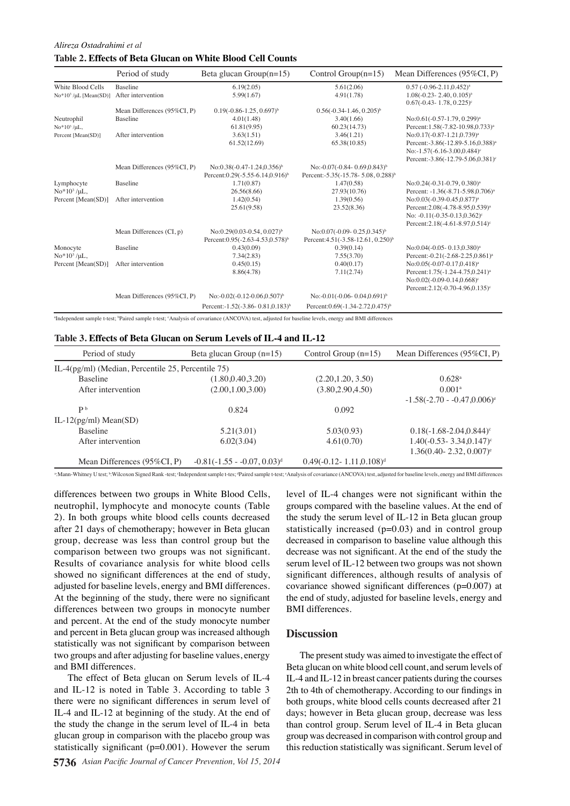Alireza Ostadrahimi et al Table 2. Effects of Beta Glucan on White Blood Cell Counts

|                                | Period of study             | Beta glucan $Group(n=15)$                        | Control Group $(n=15)$                          | Mean Differences $(95\%CI, P)$                   |
|--------------------------------|-----------------------------|--------------------------------------------------|-------------------------------------------------|--------------------------------------------------|
| White Blood Cells              | <b>Baseline</b>             | 6.19(2.05)                                       | 5.61(2.06)                                      | $0.57 (-0.96 - 2.11.0.452)^a$                    |
| $No*103 / \mu L$ [Mean(SD)]    | After intervention          | 5.99(1.67)                                       | 4.91(1.78)                                      | $1.08(-0.23 - 2.40, 0.105)^{a}$                  |
|                                |                             |                                                  |                                                 | $0.67(-0.43 - 1.78, 0.225)^c$                    |
|                                | Mean Differences (95%CI, P) | $0.19(-0.86-1.25, 0.697)^{b}$                    | $0.56(-0.34-1.46, 0.205)^{b}$                   |                                                  |
| Neutrophil                     | <b>Baseline</b>             | 4.01(1.48)                                       | 3.40(1.66)                                      | No:0.61(-0.57-1.79, 0.299) <sup>a</sup>          |
| $\text{No*}10^3/\mu\text{L}$ , |                             | 61.81(9.95)                                      | 60.23(14.73)                                    | Percent: 1.58(-7.82-10.98, 0.733) <sup>a</sup>   |
| Percent [Mean(SD)]             | After intervention          | 3.63(1.51)                                       | 3.46(1.21)                                      | $No: 0.17(-0.87-1.21, 0.739)^{a}$                |
|                                |                             | 61.52(12.69)                                     | 65.38(10.85)                                    | Percent: -3.86(-12.89-5.16.0.388) <sup>a</sup>   |
|                                |                             |                                                  |                                                 | $No: -1.57(-6.16-3.00.0.484)$ °                  |
|                                |                             |                                                  |                                                 | Percent: -3.86(-12.79-5.06,0.381) <sup>c</sup>   |
|                                | Mean Differences (95%CI, P) | $No: 0.38(-0.47-1.24, 0.356)^{b}$                | No:-0.07(-0.84-0.69,0.843) <sup>b</sup>         |                                                  |
|                                |                             | Percent: 0.29(-5.55-6.14, 0.916) <sup>b</sup>    | Percent:-5.35(-15.78- 5.08, 0.288) <sup>b</sup> |                                                  |
| Lymphocyte                     | <b>Baseline</b>             | 1.71(0.87)                                       | 1.47(0.58)                                      | No:0.24(-0.31-0.79, 0.380) <sup>a</sup>          |
| $No*103/\mu L$ ,               |                             | 26.56(8.66)                                      | 27.93(10.76)                                    | Percent: -1.36(-8.71-5.98,0.706) <sup>a</sup>    |
| Percent [Mean(SD)]             | After intervention          | 1.42(0.54)                                       | 1.39(0.56)                                      | No:0.03(-0.39-0.45,0.877) <sup>a</sup>           |
|                                |                             | 25.61(9.58)                                      | 23.52(8.36)                                     | Percent: 2.08(-4.78-8.95, 0.539) <sup>a</sup>    |
|                                |                             |                                                  |                                                 | No: $-0.11(-0.35-0.13, 0.362)^c$                 |
|                                |                             |                                                  |                                                 | Percent: 2.18 (-4.61 - 8.97, 0.514) <sup>c</sup> |
|                                | Mean Differences (CI, p)    | No:0.29(0.03-0.54, 0.027) <sup>b</sup>           | No:0.07(-0.09-0.25,0.345) <sup>b</sup>          |                                                  |
|                                |                             | Percent: 0.95 (-2.63 - 4.53, 0.578) <sup>b</sup> | Percent: 4.51(-3.58-12.61, 0.250) <sup>b</sup>  |                                                  |
| Monocyte                       | <b>Baseline</b>             | 0.43(0.09)                                       | 0.39(0.14)                                      | $No: 0.04(-0.05-0.13.0.380)^{a}$                 |
| $\text{No*}10^3/\mu\text{L}$ , |                             | 7.34(2.83)                                       | 7.55(3.70)                                      | Percent: -0.21(-2.68-2.25,0.861) <sup>a</sup>    |
| Percent [Mean(SD)]             | After intervention          | 0.45(0.15)                                       | 0.40(0.17)                                      | $No: 0.05(-0.07-0.17, 0.418)^{a}$                |
|                                |                             | 8.86(4.78)                                       | 7.11(2.74)                                      | Percent: 1.75(-1.24-4.75, 0.241) <sup>a</sup>    |
|                                |                             |                                                  |                                                 | $No: 0.02(-0.09-0.14, 0.668)^c$                  |
|                                |                             |                                                  |                                                 | Percent: 2.12(-0.70-4.96.0.135) <sup>c</sup>     |
|                                | Mean Differences (95%CI, P) | No:-0.02(-0.12-0.06.0.507) <sup>b</sup>          | No:-0.01(-0.06-0.04.0.691) <sup>b</sup>         |                                                  |
|                                |                             | Percent:-1.52(-3.86-0.81.0.183) <sup>b</sup>     | Percent: 0.69 (-1.34 - 2.72.0.475) <sup>b</sup> |                                                  |

#### Table 3. Effects of Beta Glucan on Serum Levels of IL-4 and IL-12

| Period of study                                        | Beta glucan Group $(n=15)$     | Control Group $(n=15)$        | Mean Differences (95%CI, P)          |
|--------------------------------------------------------|--------------------------------|-------------------------------|--------------------------------------|
| IL-4( $pg/ml$ ) (Median, Percentile 25, Percentile 75) |                                |                               |                                      |
| <b>Baseline</b>                                        | (1.80, 0.40, 3.20)             | (2.20, 1.20, 3.50)            | $0.628$ <sup>a</sup>                 |
| After intervention                                     | (2.00, 1.00, 3.00)             | (3.80, 2.90, 4.50)            | 0.001 <sup>a</sup>                   |
|                                                        |                                |                               | $-1.58(-2.70 - 0.47, 0.006)^{\circ}$ |
| $\mathbf{p}$ b                                         | 0.824                          | 0.092                         |                                      |
| IL-12( $pg/ml$ ) Mean(SD)                              |                                |                               |                                      |
| <b>Baseline</b>                                        | 5.21(3.01)                     | 5.03(0.93)                    | $0.18(-1.68-2.04, 0.844)$ °          |
| After intervention                                     | 6.02(3.04)                     | 4.61(0.70)                    | $1.40(-0.53 - 3.34, 0.147)^c$        |
|                                                        |                                |                               | $1.36(0.40 - 2.32, 0.007)^e$         |
| Mean Differences (95%CI, P)                            | $-0.81(-1.55 - -0.07, 0.03)^d$ | $0.49(-0.12 - 1.11, 0.108)^d$ |                                      |

":Mann-Whitney U test; ":Wilcoxon Signed Rank-test; 'Independent sample t-tes; 'Paired sample t-test; 'Analysis of covariance (ANCOVA) test, adjusted for baseline levels, energy and BMI differences

differences between two groups in White Blood Cells, neutrophil, lymphocyte and monocyte counts (Table 2). In both groups white blood cells counts decreased after 21 days of chemotherapy; however in Beta glucan group, decrease was less than control group but the comparison between two groups was not significant. Results of covariance analysis for white blood cells showed no significant differences at the end of study, adjusted for baseline levels, energy and BMI differences. At the beginning of the study, there were no significant differences between two groups in monocyte number and percent. At the end of the study monocyte number and percent in Beta glucan group was increased although statistically was not significant by comparison between two groups and after adjusting for baseline values, energy and BMI differences.

The effect of Beta glucan on Serum levels of IL-4 and IL-12 is noted in Table 3. According to table 3 there were no significant differences in serum level of IL-4 and IL-12 at beginning of the study. At the end of the study the change in the serum level of IL-4 in beta glucan group in comparison with the placebo group was statistically significant ( $p=0.001$ ). However the serum

level of IL-4 changes were not significant within the groups compared with the baseline values. At the end of the study the serum level of IL-12 in Beta glucan group statistically increased  $(p=0.03)$  and in control group decreased in comparison to baseline value although this decrease was not significant. At the end of the study the serum level of IL-12 between two groups was not shown significant differences, although results of analysis of covariance showed significant differences ( $p=0.007$ ) at the end of study, adjusted for baseline levels, energy and **BMI** differences.

#### **Discussion**

The present study was aimed to investigate the effect of Beta glucan on white blood cell count, and serum levels of IL-4 and IL-12 in breast cancer patients during the courses 2th to 4th of chemotherapy. According to our findings in both groups, white blood cells counts decreased after 21 days; however in Beta glucan group, decrease was less than control group. Serum level of IL-4 in Beta glucan group was decreased in comparison with control group and this reduction statistically was significant. Serum level of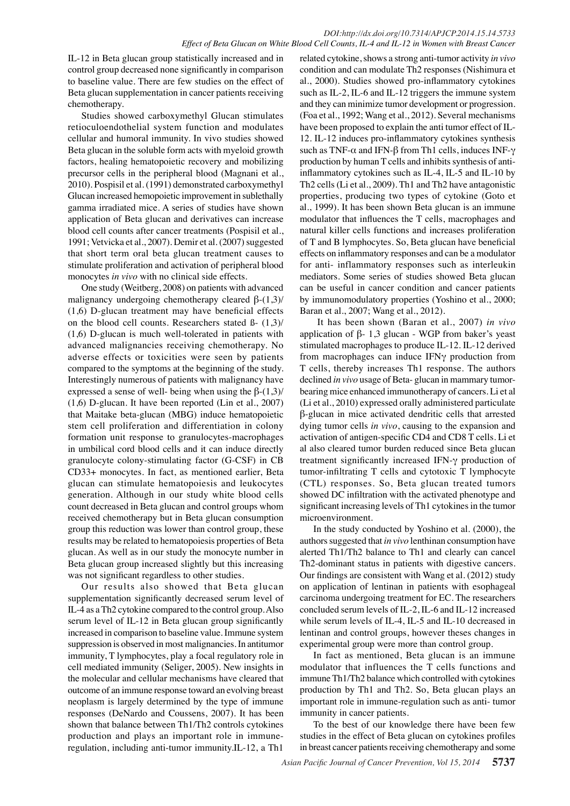IL-12 in Beta glucan group statistically increased and in control group decreased none significantly in comparison to baseline value. There are few studies on the effect of Beta glucan supplementation in cancer patients receiving chemotherapy.

Studies showed carboxymethyl Glucan stimulates retioculoendothelial system function and modulates cellular and humoral immunity. In vivo studies showed Beta glucan in the soluble form acts with myeloid growth factors, healing hematopoietic recovery and mobilizing precursor cells in the peripheral blood (Magnani et al., 2010). Pospisil et al. (1991) demonstrated carboxymethyl Glucan increased hemopoietic improvement in sublethally gamma irradiated mice. A series of studies have shown application of Beta glucan and derivatives can increase blood cell counts after cancer treatments (Pospisil et al., 1991; Vetvicka et al., 2007). Demir et al. (2007) suggested that short term oral beta glucan treatment causes to stimulate proliferation and activation of peripheral blood monocytes *in vivo* with no clinical side effects.

One study (Weitberg, 2008) on patients with advanced malignancy undergoing chemotherapy cleared  $\beta$ - $(1,3)$ /  $(1,6)$  D-glucan treatment may have beneficial effects on the blood cell counts. Researchers stated  $\beta$ - (1,3)/  $(1,6)$  D-glucan is much well-tolerated in patients with advanced malignancies receiving chemotherapy. No adverse effects or toxicities were seen by patients compared to the symptoms at the beginning of the study. Interestingly numerous of patients with malignancy have expressed a sense of well- being when using the  $\beta$ - $(1,3)$ /  $(1,6)$  D-glucan. It have been reported (Lin et al., 2007) that Maitake beta-glucan (MBG) induce hematopoietic stem cell proliferation and differentiation in colony formation unit response to granulocytes-macrophages in umbilical cord blood cells and it can induce directly granulocyte colony-stimulating factor  $(G-CSF)$  in CB CD33+ monocytes. In fact, as mentioned earlier, Beta glucan can stimulate hematopoiesis and leukocytes generation. Although in our study white blood cells count decreased in Beta glucan and control groups whom received chemotherapy but in Beta glucan consumption group this reduction was lower than control group, these results may be related to hematopoiesis properties of Beta glucan. As well as in our study the monocyte number in Beta glucan group increased slightly but this increasing was not significant regardless to other studies.

Our results also showed that Beta glucan supplementation significantly decreased serum level of IL-4 as a Th2 cytokine compared to the control group. Also serum level of IL-12 in Beta glucan group significantly increased in comparison to baseline value. Immune system suppression is observed in most malignancies. In antitumor immunity, T lymphocytes, play a focal regulatory role in cell mediated immunity (Seliger, 2005). New insights in the molecular and cellular mechanisms have cleared that outcome of an immune response toward an evolving breast neoplasm is largely determined by the type of immune responses (DeNardo and Coussens, 2007). It has been shown that balance between Th1/Th2 controls cytokines production and plays an important role in immuneregulation, including anti-tumor immunity.IL-12, a Th1

related cytokine, shows a strong anti-tumor activity in vivo condition and can modulate Th2 responses (Nishimura et al., 2000). Studies showed pro-inflammatory cytokines such as IL-2, IL-6 and IL-12 triggers the immune system and they can minimize tumor development or progression. (Foa et al., 1992; Wang et al., 2012). Several mechanisms have been proposed to explain the anti tumor effect of IL-12. IL-12 induces pro-inflammatory cytokines synthesis such as TNF- $\alpha$  and IFN- $\beta$  from Th1 cells, induces INF- $\gamma$  $production by human T cells and inhibits synthesis of anti$ inflammatory cytokines such as IL-4, IL-5 and IL-10 by Th2 cells (Li et al., 2009). Th1 and Th2 have antagonistic properties, producing two types of cytokine (Goto et al., 1999). It has been shown Beta glucan is an immune modulator that influences the T cells, macrophages and natural killer cells functions and increases proliferation of T and B lymphocytes. So, Beta glucan have beneficial effects on inflammatory responses and can be a modulator for anti- inflammatory responses such as interleukin mediators. Some series of studies showed Beta glucan can be useful in cancer condition and cancer patients by immunomodulatory properties (Yoshino et al., 2000; Baran et al., 2007; Wang et al., 2012).

It has been shown (Baran et al., 2007) in vivo application of  $\beta$ - 1,3 glucan - WGP from baker's yeast stimulated macrophages to produce IL-12. IL-12 derived from macrophages can induce  $IFN\gamma$  production from T cells, thereby increases Th1 response. The authors declined *in vivo* usage of Beta-glucan in mammary tumorbearing mice enhanced immunotherapy of cancers. Li et al (Li et al., 2010) expressed orally administered particulate  $\beta$ -glucan in mice activated dendritic cells that arrested dying tumor cells in vivo, causing to the expansion and activation of antigen-specific CD4 and CD8 T cells. Li et al also cleared tumor burden reduced since Beta glucan treatment significantly increased IFN- $\gamma$  production of tumor-infiltrating  $T$  cells and cytotoxic  $T$  lymphocyte (CTL) responses. So, Beta glucan treated tumors showed DC infiltration with the activated phenotype and significant increasing levels of Th1 cytokines in the tumor microenvironment.

In the study conducted by Yoshino et al.  $(2000)$ , the authors suggested that in vivo lenthinan consumption have alerted Th1/Th2 balance to Th1 and clearly can cancel Th2-dominant status in patients with digestive cancers. Our findings are consistent with Wang et al. (2012) study on application of lentinan in patients with esophageal carcinoma undergoing treatment for EC. The researchers concluded serum levels of IL-2, IL-6 and IL-12 increased while serum levels of IL-4, IL-5 and IL-10 decreased in lentinan and control groups, however theses changes in experimental group were more than control group.

In fact as mentioned, Beta glucan is an immune modulator that influences the T cells functions and immune Th1/Th2 balance which controlled with cytokines production by Th1 and Th2. So, Beta glucan plays an important role in immune-regulation such as anti-tumor immunity in cancer patients.

To the best of our knowledge there have been few studies in the effect of Beta glucan on cytokines profiles in breast cancer patients receiving chemotherapy and some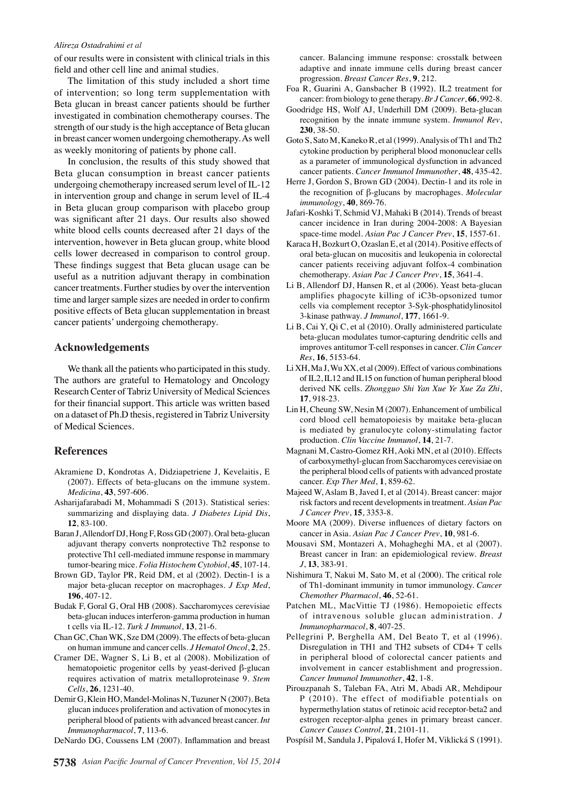#### Alireza Ostadrahimi et al

of our results were in consistent with clinical trials in this field and other cell line and animal studies.

The limitation of this study included a short time of intervention; so long term supplementation with Beta glucan in breast cancer patients should be further investigated in combination chemotherapy courses. The strength of our study is the high acceptance of Beta glucan in breast cancer women undergoing chemotherapy. As well as weekly monitoring of patients by phone call.

In conclusion, the results of this study showed that Beta glucan consumption in breast cancer patients undergoing chemotherapy increased serum level of IL-12 in intervention group and change in serum level of IL-4 in Beta glucan group comparison with placebo group was significant after 21 days. Our results also showed white blood cells counts decreased after 21 days of the intervention, however in Beta glucan group, white blood cells lower decreased in comparison to control group. These findings suggest that Beta glucan usage can be useful as a nutrition adjuvant therapy in combination cancer treatments. Further studies by over the intervention time and larger sample sizes are needed in order to confirm positive effects of Beta glucan supplementation in breast cancer patients' undergoing chemotherapy.

#### **Acknowledgements**

We thank all the patients who participated in this study. The authors are grateful to Hematology and Oncology Research Center of Tabriz University of Medical Sciences for their financial support. This article was written based on a dataset of Ph.D thesis, registered in Tabriz University of Medical Sciences.

## **References**

- Akramiene D, Kondrotas A, Didziapetriene J, Kevelaitis, E (2007). Effects of beta-glucans on the immune system. Medicina, 43, 597-606.
- Asharijafarabadi M, Mohammadi S (2013). Statistical series: summarizing and displaying data. J Diabetes Lipid Dis, 12, 83-100.
- Baran J, Allendorf DJ, Hong F, Ross GD (2007). Oral beta-glucan adjuvant therapy converts nonprotective Th2 response to protective Th1 cell-mediated immune response in mammary tumor-bearing mice. Folia Histochem Cytobiol, 45, 107-14.
- Brown GD, Taylor PR, Reid DM, et al (2002). Dectin-1 is a major beta-glucan receptor on macrophages. J Exp Med, 196, 407-12.
- Budak F, Goral G, Oral HB (2008). Saccharomyces cerevisiae beta-glucan induces interferon-gamma production in human t cells via IL-12. Turk J Immunol, 13, 21-6.
- Chan GC, Chan WK, Sze DM (2009). The effects of beta-glucan on human immune and cancer cells. *J Hematol Oncol*, 2, 25.
- Cramer DE, Wagner S, Li B, et al (2008). Mobilization of hematopoietic progenitor cells by yeast-derived  $\beta$ -glucan requires activation of matrix metalloproteinase 9. Stem Cells, 26, 1231-40.
- Demir G, Klein HO, Mandel-Molinas N, Tuzuner N (2007). Beta glucan induces proliferation and activation of monocytes in peripheral blood of patients with advanced breast cancer. Int Immunopharmacol, 7, 113-6.
- DeNardo DG, Coussens LM (2007). Inflammation and breast

cancer. Balancing immune response: crosstalk between adaptive and innate immune cells during breast cancer progression. Breast Cancer Res, 9, 212.

- Foa R, Guarini A, Gansbacher B (1992). IL2 treatment for cancer: from biology to gene therapy. Br J Cancer, 66, 992-8.
- Goodridge HS, Wolf AJ, Underhill DM (2009). Beta-glucan recognition by the innate immune system. Immunol Rev,  $230.38 - 50.$
- Goto S, Sato M, Kaneko R, et al (1999). Analysis of Th1 and Th2 cytokine production by peripheral blood mononuclear cells as a parameter of immunological dysfunction in advanced cancer patients. Cancer Immunol Immunother, 48, 435-42.
- Herre J, Gordon S, Brown GD (2004). Dectin-1 and its role in the recognition of  $\beta$ -glucans by macrophages. *Molecular* immunology, 40, 869-76.
- Jafari-Koshki T, Schmid VJ, Mahaki B (2014). Trends of breast cancer incidence in Iran during 2004-2008: A Bayesian space-time model. Asian Pac J Cancer Prev, 15, 1557-61.
- Karaca H, Bozkurt O, Ozaslan E, et al (2014). Positive effects of oral beta-glucan on mucositis and leukopenia in colorectal cancer patients receiving adjuvant folfox-4 combination chemotherapy. Asian Pac J Cancer Prev, 15, 3641-4.
- Li B, Allendorf DJ, Hansen R, et al (2006). Yeast beta-glucan amplifies phagocyte killing of iC3b-opsonized tumor cells via complement receptor 3-Syk-phosphatidylinositol 3-kinase pathway. J Immunol, 177, 1661-9.
- Li B, Cai Y, Qi C, et al (2010). Orally administered particulate beta-glucan modulates tumor-capturing dendritic cells and improves antitumor T-cell responses in cancer. Clin Cancer Res. 16, 5153-64.
- Li XH, Ma J, Wu XX, et al (2009). Effect of various combinations of IL2, IL12 and IL15 on function of human peripheral blood derived NK cells. Zhongguo Shi Yan Xue Ye Xue Za Zhi, 17.918-23.
- Lin H, Cheung SW, Nesin M (2007). Enhancement of umbilical cord blood cell hematopoiesis by maitake beta-glucan is mediated by granulocyte colony-stimulating factor production. Clin Vaccine Immunol, 14, 21-7.
- Magnani M, Castro-Gomez RH, Aoki MN, et al (2010). Effects of carboxymethyl-glucan from Saccharomyces cerevisiae on the peripheral blood cells of patients with advanced prostate cancer. Exp Ther Med, 1, 859-62.
- Majeed W, Aslam B, Javed I, et al (2014). Breast cancer: major risk factors and recent developments in treatment. Asian Pac J Cancer Prev, 15, 3353-8.
- Moore MA (2009). Diverse influences of dietary factors on cancer in Asia. Asian Pac J Cancer Prev, 10, 981-6.
- Mousavi SM, Montazeri A, Mohagheghi MA, et al (2007). Breast cancer in Iran: an epidemiological review. Breast  $J. 13. 383 - 91.$
- Nishimura T, Nakui M, Sato M, et al (2000). The critical role of Th1-dominant immunity in tumor immunology. Cancer Chemother Pharmacol, 46, 52-61.
- Patchen ML, MacVittie TJ (1986). Hemopoietic effects of intravenous soluble glucan administration. J Immunopharmacol, 8, 407-25.
- Pellegrini P. Berghella AM. Del Beato T. et al (1996). Disregulation in TH1 and TH2 subsets of CD4+ T cells in peripheral blood of colorectal cancer patients and involvement in cancer establishment and progression. Cancer Immunol Immunother, 42, 1-8.
- Pirouzpanah S, Taleban FA, Atri M, Abadi AR, Mehdipour P (2010). The effect of modifiable potentials on hypermethylation status of retinoic acid receptor-beta2 and estrogen receptor-alpha genes in primary breast cancer. Cancer Causes Control, 21, 2101-11.
- Pospísil M, Sandula J, Pipalová I, Hofer M, Viklická S (1991).